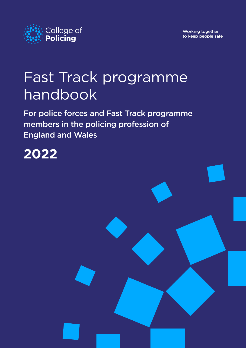

Working together to keep people safe

# Fast Track programme handbook

For police forces and Fast Track programme members in the policing profession of England and Wales

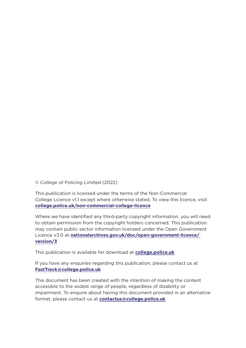© College of Policing Limited (2022)

This publication is licensed under the terms of the Non-Commercial College Licence v1.1 except where otherwise stated. To view this licence, visit **[college.police.uk/non-commercial-college-licence](https://www.college.police.uk/non-commercial-college-licence)**

Where we have identified any third-party copyright information, you will need to obtain permission from the copyright holders concerned. This publication may contain public sector information licensed under the Open Government Licence v3.0 at **[nationalarchives.gov.uk/doc/open-government-licence/](http://nationalarchives.gov.uk/doc/open-government-licence/version/3)  [version/3](http://nationalarchives.gov.uk/doc/open-government-licence/version/3)**

This publication is available for download at **[college.police.uk](https://www.college.police.uk/)**

If you have any enquiries regarding this publication, please contact us at **[FastTrack@college.police.uk](mailto:FastTrack%40college.police.uk?subject=Fast%20Track%20handbook)**

This document has been created with the intention of making the content accessible to the widest range of people, regardless of disability or impairment. To enquire about having this document provided in an alternative format, please contact us at **[contactus@college.police.uk](mailto:contactus@college.police.uk)**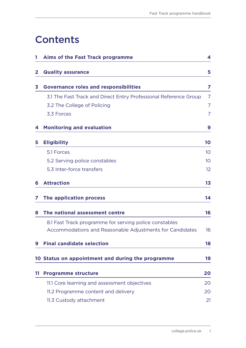### **Contents**

|    | Aims of the Fast Track programme                                 | 4               |
|----|------------------------------------------------------------------|-----------------|
| 2  | <b>Quality assurance</b>                                         | 5               |
|    |                                                                  |                 |
| 3  | <b>Governance roles and responsibilities</b>                     | 7               |
|    | 3.1 The Fast Track and Direct Entry Professional Reference Group | 7               |
|    | 3.2 The College of Policing                                      | 7               |
|    | 3.3 Forces                                                       | $\overline{7}$  |
| 4  | <b>Monitoring and evaluation</b>                                 | 9               |
| 5  | <b>Eligibility</b>                                               | 10              |
|    | 5.1 Forces                                                       | 10 <sup>°</sup> |
|    | 5.2 Serving police constables                                    | 10              |
|    | 5.3 Inter-force transfers                                        | 12 <sup>°</sup> |
| 6  | <b>Attraction</b>                                                | 1 <sub>3</sub>  |
| 7  | The application process                                          | 14              |
| 8  | The national assessment centre                                   | 16              |
|    | 8.1 Fast Track programme for serving police constables           |                 |
|    | Accommodations and Reasonable Adjustments for Candidates         | 16              |
| 9  | <b>Final candidate selection</b>                                 | 18              |
|    | 10 Status on appointment and during the programme                | 19              |
| 11 | <b>Programme structure</b>                                       | 20              |
|    | 11.1 Core learning and assessment objectives                     | 20              |
|    | 11.2 Programme content and delivery                              | 20              |
|    | 11.3 Custody attachment                                          | 21              |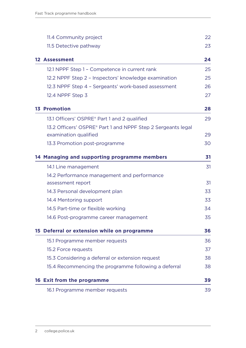| 11.4 Community project                                       | 22 |
|--------------------------------------------------------------|----|
| 11.5 Detective pathway                                       | 23 |
| <b>12 Assessment</b>                                         | 24 |
| 12.1 NPPF Step 1 - Competence in current rank                | 25 |
| 12.2 NPPF Step 2 - Inspectors' knowledge examination         | 25 |
| 12.3 NPPF Step 4 - Sergeants' work-based assessment          | 26 |
| 12.4 NPPF Step 3                                             | 27 |
| <b>13 Promotion</b>                                          | 28 |
| 13.1 Officers' OSPRE <sup>®</sup> Part 1 and 2 qualified     | 29 |
| 13.2 Officers' OSPRE® Part 1 and NPPF Step 2 Sergeants legal |    |
| examination qualified                                        | 29 |
| 13.3 Promotion post-programme                                | 30 |
| 14 Managing and supporting programme members                 | 31 |
| 14.1 Line management                                         | 31 |
| 14.2 Performance management and performance                  |    |
| assessment report                                            | 31 |
| 14.3 Personal development plan                               | 33 |
| 14.4 Mentoring support                                       | 33 |
| 14.5 Part-time or flexible working                           | 34 |
| 14.6 Post-programme career management                        | 35 |
| 15 Deferral or extension while on programme                  | 36 |
| 15.1 Programme member requests                               | 36 |
| 15.2 Force requests                                          | 37 |
| 15.3 Considering a deferral or extension request             | 38 |
| 15.4 Recommencing the programme following a deferral         | 38 |
| 16 Exit from the programme                                   | 39 |
| 16.1 Programme member requests                               | 39 |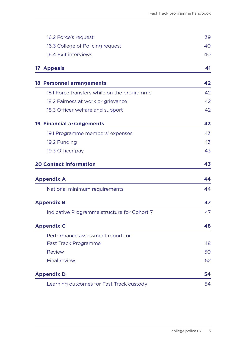| 16.2 Force's request                        | 39 |
|---------------------------------------------|----|
| 16.3 College of Policing request            | 40 |
| 16.4 Exit interviews                        | 40 |
| 17 Appeals                                  | 41 |
| <b>18 Personnel arrangements</b>            | 42 |
| 18.1 Force transfers while on the programme | 42 |
| 18.2 Fairness at work or grievance          | 42 |
| 18.3 Officer welfare and support            | 42 |
| <b>19 Financial arrangements</b>            | 43 |
| 19.1 Programme members' expenses            | 43 |
| 19.2 Funding                                | 43 |
| 19.3 Officer pay                            | 43 |
| <b>20 Contact information</b>               | 43 |
| <b>Appendix A</b>                           | 44 |
| National minimum requirements               | 44 |
| <b>Appendix B</b>                           | 47 |
| Indicative Programme structure for Cohort 7 | 47 |
| <b>Appendix C</b>                           | 48 |
| Performance assessment report for           |    |
| <b>Fast Track Programme</b>                 | 48 |
| <b>Review</b>                               | 50 |
| <b>Final review</b>                         | 52 |
| <b>Appendix D</b>                           | 54 |
| Learning outcomes for Fast Track custody    | 54 |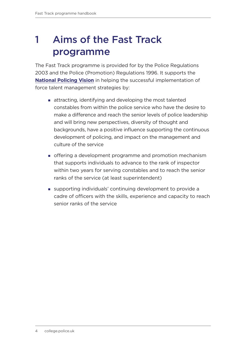## <span id="page-5-0"></span>1 Aims of the Fast Track programme

The Fast Track programme is provided for by the Police Regulations 2003 and the Police (Promotion) Regulations 1996. It supports the **National Policing Vision** in helping the successful implementation of force talent management strategies by:

- attracting, identifying and developing the most talented constables from within the police service who have the desire to make a difference and reach the senior levels of police leadership and will bring new perspectives, diversity of thought and backgrounds, have a positive influence supporting the continuous development of policing, and impact on the management and culture of the service
- offering a development programme and promotion mechanism that supports individuals to advance to the rank of inspector within two years for serving constables and to reach the senior ranks of the service (at least superintendent)
- supporting individuals' continuing development to provide a cadre of officers with the skills, experience and capacity to reach senior ranks of the service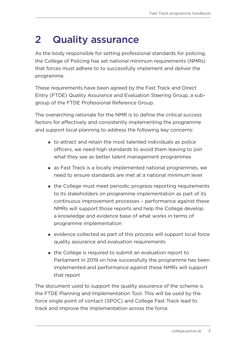### <span id="page-6-0"></span>2 Quality assurance

As the body responsible for setting professional standards for policing, the College of Policing has set national minimum requirements (NMRs) that forces must adhere to to successfully implement and deliver the programme.

These requirements have been agreed by the Fast Track and Direct Entry (FTDE) Quality Assurance and Evaluation Steering Group, a subgroup of the FTDE Professional Reference Group.

The overarching rationale for the NMR is to define the critical success factors for effectively and consistently implementing the programme and support local planning to address the following key concerns:

- to attract and retain the most talented individuals as police officers, we need high standards to avoid them leaving to join what they see as better talent management programmes
- as Fast Track is a locally implemented national programmes, we need to ensure standards are met at a national minimum level
- **the College must meet periodic progress reporting requirements** to its stakeholders on programme implementation as part of its continuous improvement processes – performance against these NMRs will support those reports and help the College develop a knowledge and evidence base of what works in terms of programme implementation
- evidence collected as part of this process will support local force quality assurance and evaluation requirements
- the College is required to submit an evaluation report to Parliament in 2019 on how successfully the programme has been implemented and performance against these NMRs will support that report

The document used to support the quality assurance of the scheme is the FTDE Planning and Implementation Tool. This will be used by the force single point of contact (SPOC) and College Fast Track lead to track and improve the implementation across the force.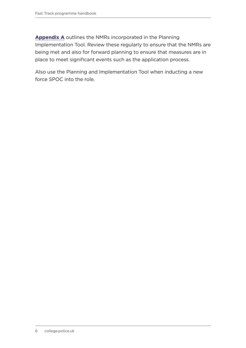**[Appendix A](#page-45-1)** outlines the NMRs incorporated in the Planning Implementation Tool. Review these regularly to ensure that the NMRs are being met and also for forward planning to ensure that measures are in place to meet significant events such as the application process.

Also use the Planning and Implementation Tool when inducting a new force SPOC into the role.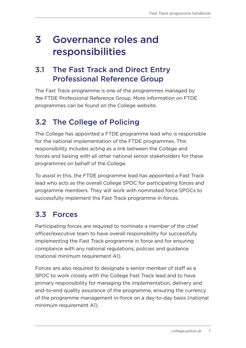### <span id="page-8-0"></span>3 Governance roles and responsibilities

#### 3.1 The Fast Track and Direct Entry Professional Reference Group

The Fast Track programme is one of the programmes managed by the FTDE Professional Reference Group. More information on FTDE programmes can be found on the College website.

### 3.2 The College of Policing

The College has appointed a FTDE programme lead who is responsible for the national implementation of the FTDE programmes. This responsibility includes acting as a link between the College and forces and liaising with all other national senior stakeholders for these programmes on behalf of the College.

To assist in this, the FTDE programme lead has appointed a Fast Track lead who acts as the overall College SPOC for participating forces and programme members. They will work with nominated force SPOCs to successfully implement the Fast Track programme in forces.

### 3.3 Forces

Participating forces are required to nominate a member of the chief officer/executive team to have overall responsibility for successfully implementing the Fast Track programme in force and for ensuring compliance with any national regulations, policies and guidance (national minimum requirement A1).

Forces are also required to designate a senior member of staff as a SPOC to work closely with the College Fast Track lead and to have primary responsibility for managing the implementation, delivery and end-to-end quality assurance of the programme, ensuring the currency of the programme management in-force on a day-to-day basis (national minimum requirement A1).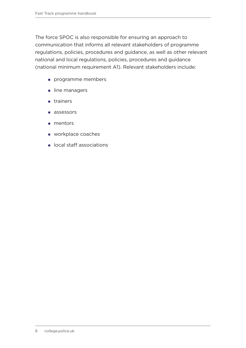The force SPOC is also responsible for ensuring an approach to communication that informs all relevant stakeholders of programme regulations, policies, procedures and guidance, as well as other relevant national and local regulations, policies, procedures and guidance (national minimum requirement A1). Relevant stakeholders include:

- programme members
- line managers
- **n** trainers
- assessors
- **mentors**
- **workplace coaches**
- ocal staff associations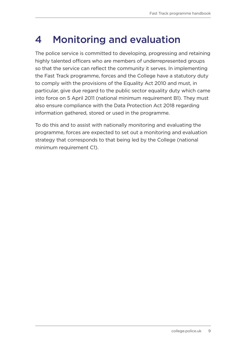### <span id="page-10-0"></span>4 Monitoring and evaluation

The police service is committed to developing, progressing and retaining highly talented officers who are members of underrepresented groups so that the service can reflect the community it serves. In implementing the Fast Track programme, forces and the College have a statutory duty to comply with the provisions of the Equality Act 2010 and must, in particular, give due regard to the public sector equality duty which came into force on 5 April 2011 (national minimum requirement B1). They must also ensure compliance with the Data Protection Act 2018 regarding information gathered, stored or used in the programme.

To do this and to assist with nationally monitoring and evaluating the programme, forces are expected to set out a monitoring and evaluation strategy that corresponds to that being led by the College (national minimum requirement C1).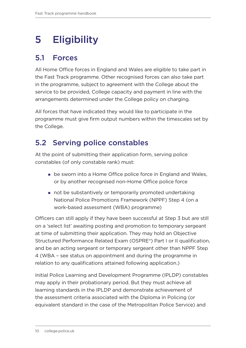## <span id="page-11-0"></span>5 Eligibility

### 5.1 Forces

All Home Office forces in England and Wales are eligible to take part in the Fast Track programme. Other recognised forces can also take part in the programme, subject to agreement with the College about the service to be provided, College capacity and payment in line with the arrangements determined under the College policy on charging.

All forces that have indicated they would like to participate in the programme must give firm output numbers within the timescales set by the College.

### 5.2 Serving police constables

At the point of submitting their application form, serving police constables (of only constable rank) must:

- **Example 3 Follow System** be sworn into a Home Office police force in England and Wales, or by another recognised non-Home Office police force
- not be substantively or temporarily promoted undertaking National Police Promotions Framework (NPPF) Step 4 (on a work-based assessment (WBA) programme)

Officers can still apply if they have been successful at Step 3 but are still on a 'select list' awaiting posting and promotion to temporary sergeant at time of submitting their application. They may hold an Objective Structured Performance Related Exam (OSPRE®) Part I or II qualification, and be an acting sergeant or temporary sergeant other than NPPF Step 4 (WBA – see status on appointment and during the programme in relation to any qualifications attained following application.)

Initial Police Learning and Development Programme (IPLDP) constables may apply in their probationary period. But they must achieve all learning standards in the IPLDP and demonstrate achievement of the assessment criteria associated with the Diploma in Policing (or equivalent standard in the case of the Metropolitan Police Service) and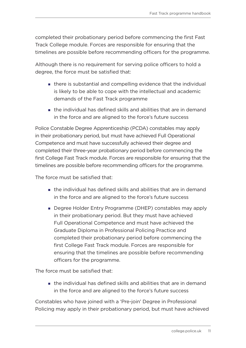completed their probationary period before commencing the first Fast Track College module. Forces are responsible for ensuring that the timelines are possible before recommending officers for the programme.

Although there is no requirement for serving police officers to hold a degree, the force must be satisfied that:

- there is substantial and compelling evidence that the individual is likely to be able to cope with the intellectual and academic demands of the Fast Track programme
- the individual has defined skills and abilities that are in demand in the force and are aligned to the force's future success

Police Constable Degree Apprenticeship (PCDA) constables may apply in their probationary period, but must have achieved Full Operational Competence and must have successfully achieved their degree and completed their three-year probationary period before commencing the first College Fast Track module. Forces are responsible for ensuring that the timelines are possible before recommending officers for the programme.

The force must be satisfied that:

- the individual has defined skills and abilities that are in demand in the force and are aligned to the force's future success
- Degree Holder Entry Programme (DHEP) constables may apply in their probationary period. But they must have achieved Full Operational Competence and must have achieved the Graduate Diploma in Professional Policing Practice and completed their probationary period before commencing the first College Fast Track module. Forces are responsible for ensuring that the timelines are possible before recommending officers for the programme.

The force must be satisfied that:

 $\blacksquare$  the individual has defined skills and abilities that are in demand in the force and are aligned to the force's future success

Constables who have joined with a 'Pre-join' Degree in Professional Policing may apply in their probationary period, but must have achieved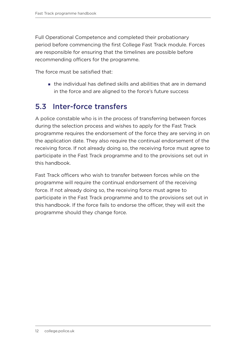<span id="page-13-0"></span>Full Operational Competence and completed their probationary period before commencing the first College Fast Track module. Forces are responsible for ensuring that the timelines are possible before recommending officers for the programme.

The force must be satisfied that:

 the individual has defined skills and abilities that are in demand in the force and are aligned to the force's future success

#### 5.3 Inter-force transfers

A police constable who is in the process of transferring between forces during the selection process and wishes to apply for the Fast Track programme requires the endorsement of the force they are serving in on the application date. They also require the continual endorsement of the receiving force. If not already doing so, the receiving force must agree to participate in the Fast Track programme and to the provisions set out in this handbook.

Fast Track officers who wish to transfer between forces while on the programme will require the continual endorsement of the receiving force. If not already doing so, the receiving force must agree to participate in the Fast Track programme and to the provisions set out in this handbook. If the force fails to endorse the officer, they will exit the programme should they change force.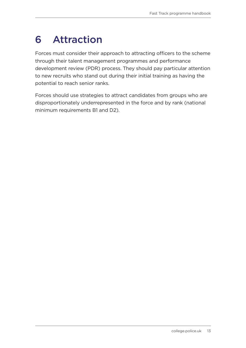## <span id="page-14-0"></span>6 Attraction

Forces must consider their approach to attracting officers to the scheme through their talent management programmes and performance development review (PDR) process. They should pay particular attention to new recruits who stand out during their initial training as having the potential to reach senior ranks.

Forces should use strategies to attract candidates from groups who are disproportionately underrepresented in the force and by rank (national minimum requirements B1 and D2).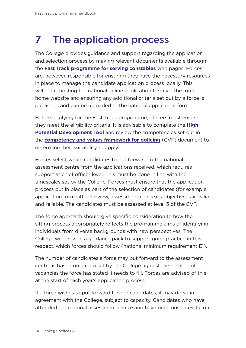## <span id="page-15-0"></span>7 The application process

The College provides guidance and support regarding the application and selection process by making relevant documents available through the **[Fast Track programme for serving constables](https://www.college.police.uk/career-learning/learning/courses/fast-track-programme-serving-constables)** web pages. Forces are, however, responsible for ensuring they have the necessary resources in place to manage the candidate application process locally. This will entail hosting the national online application form via the force home website and ensuring any additional criteria set out by a force is published and can be uploaded to the national application form.

Before applying for the Fast Track programme, officers must ensure they meet the eligibility criteria. It is advisable to complete the **[High](https://paas-s3-broker-prod-lon-6453d964-1d1a-432a-9260-5e0ba7d2fc51.s3.eu-west-2.amazonaws.com/s3fs-public/high-potential-development-tool.pdf  )  [Potential Development Tool](https://paas-s3-broker-prod-lon-6453d964-1d1a-432a-9260-5e0ba7d2fc51.s3.eu-west-2.amazonaws.com/s3fs-public/high-potential-development-tool.pdf  )** and review the competencies set out in the **[competency and values framework for policing](https://www.college.police.uk/career-learning/career-development/competency-and-values-framework-cvf)** (CVF) document to determine their suitability to apply.

Forces select which candidates to put forward to the national assessment centre from the applications received, which requires support at chief officer level. This must be done in line with the timescales set by the College. Forces must ensure that the application process put in place as part of the selection of candidates (for example, application form sift, interview, assessment centre) is objective, fair, valid and reliable. The candidates must be assessed at level 3 of the CVF.

The force approach should give specific consideration to how the sifting process appropriately reflects the programme aims of identifying individuals from diverse backgrounds with new perspectives. The College will provide a guidance pack to support good practice in this respect, which forces should follow (national minimum requirement E1).

The number of candidates a force may put forward to the assessment centre is based on a ratio set by the College against the number of vacancies the force has stated it needs to fill. Forces are advised of this at the start of each year's application process.

If a force wishes to put forward further candidates, it may do so in agreement with the College, subject to capacity. Candidates who have attended the national assessment centre and have been unsuccessful on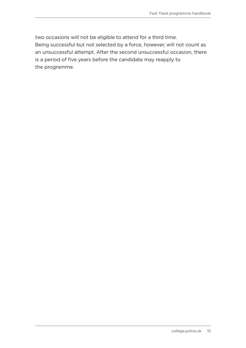two occasions will not be eligible to attend for a third time. Being successful but not selected by a force, however, will not count as an unsuccessful attempt. After the second unsuccessful occasion, there is a period of five years before the candidate may reapply to the programme.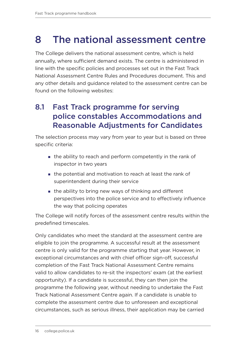## <span id="page-17-0"></span>8 The national assessment centre

The College delivers the national assessment centre, which is held annually, where sufficient demand exists. The centre is administered in line with the specific policies and processes set out in the Fast Track National Assessment Centre Rules and Procedures document. This and any other details and guidance related to the assessment centre can be found on the following websites:

### 8.1 Fast Track programme for serving police constables Accommodations and Reasonable Adjustments for Candidates

The selection process may vary from year to year but is based on three specific criteria:

- the ability to reach and perform competently in the rank of inspector in two years
- the potential and motivation to reach at least the rank of superintendent during their service
- the ability to bring new ways of thinking and different perspectives into the police service and to effectively influence the way that policing operates

The College will notify forces of the assessment centre results within the predefined timescales.

Only candidates who meet the standard at the assessment centre are eligible to join the programme. A successful result at the assessment centre is only valid for the programme starting that year. However, in exceptional circumstances and with chief officer sign-off, successful completion of the Fast Track National Assessment Centre remains valid to allow candidates to re-sit the inspectors' exam (at the earliest opportunity). If a candidate is successful, they can then join the programme the following year, without needing to undertake the Fast Track National Assessment Centre again. If a candidate is unable to complete the assessment centre due to unforeseen and exceptional circumstances, such as serious illness, their application may be carried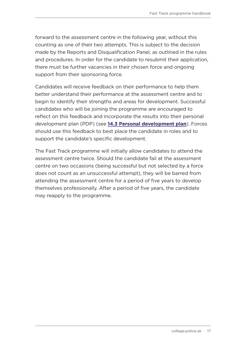forward to the assessment centre in the following year, without this counting as one of their two attempts. This is subject to the decision made by the Reports and Disqualification Panel, as outlined in the rules and procedures. In order for the candidate to resubmit their application, there must be further vacancies in their chosen force and ongoing support from their sponsoring force.

Candidates will receive feedback on their performance to help them better understand their performance at the assessment centre and to begin to identify their strengths and areas for development. Successful candidates who will be joining the programme are encouraged to reflect on this feedback and incorporate the results into their personal development plan (PDP) (see **[14.3 Personal development plan](#page-34-1)**). Forces should use this feedback to best place the candidate in roles and to support the candidate's specific development.

The Fast Track programme will initially allow candidates to attend the assessment centre twice. Should the candidate fail at the assessment centre on two occasions (being successful but not selected by a force does not count as an unsuccessful attempt), they will be barred from attending the assessment centre for a period of five years to develop themselves professionally. After a period of five years, the candidate may reapply to the programme.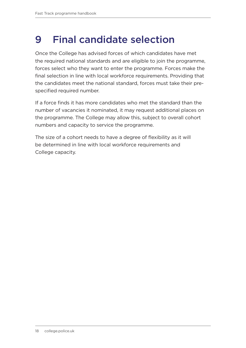### <span id="page-19-0"></span>9 Final candidate selection

Once the College has advised forces of which candidates have met the required national standards and are eligible to join the programme, forces select who they want to enter the programme. Forces make the final selection in line with local workforce requirements. Providing that the candidates meet the national standard, forces must take their prespecified required number.

If a force finds it has more candidates who met the standard than the number of vacancies it nominated, it may request additional places on the programme. The College may allow this, subject to overall cohort numbers and capacity to service the programme.

The size of a cohort needs to have a degree of flexibility as it will be determined in line with local workforce requirements and College capacity.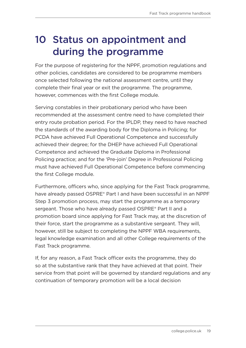### <span id="page-20-0"></span>10 Status on appointment and during the programme

For the purpose of registering for the NPPF, promotion regulations and other policies, candidates are considered to be programme members once selected following the national assessment centre, until they complete their final year or exit the programme. The programme, however, commences with the first College module.

Serving constables in their probationary period who have been recommended at the assessment centre need to have completed their entry route probation period. For the IPLDP, they need to have reached the standards of the awarding body for the Diploma in Policing; for PCDA have achieved Full Operational Competence and successfully achieved their degree; for the DHEP have achieved Full Operational Competence and achieved the Graduate Diploma in Professional Policing practice; and for the 'Pre-join' Degree in Professional Policing must have achieved Full Operational Competence before commencing the first College module.

Furthermore, officers who, since applying for the Fast Track programme, have already passed OSPRE® Part I and have been successful in an NPPF Step 3 promotion process, may start the programme as a temporary sergeant. Those who have already passed OSPRE® Part II and a promotion board since applying for Fast Track may, at the discretion of their force, start the programme as a substantive sergeant. They will, however, still be subject to completing the NPPF WBA requirements, legal knowledge examination and all other College requirements of the Fast Track programme.

If, for any reason, a Fast Track officer exits the programme, they do so at the substantive rank that they have achieved at that point. Their service from that point will be governed by standard regulations and any continuation of temporary promotion will be a local decision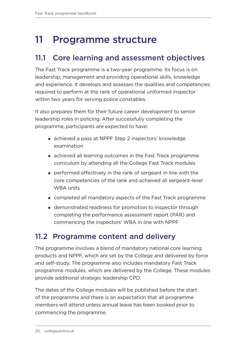### <span id="page-21-0"></span>11 Programme structure

#### 11.1 Core learning and assessment objectives

The Fast Track programme is a two-year programme. Its focus is on leadership, management and providing operational skills, knowledge and experience. It develops and assesses the qualities and competencies required to perform at the rank of operational uniformed inspector within two years for serving police constables.

It also prepares them for their future career development to senior leadership roles in policing. After successfully completing the programme, participants are expected to have:

- achieved a pass at NPPF Step 2 inspectors' knowledge examination
- achieved all learning outcomes in the Fast Track programme curriculum by attending all the College Fast Track modules
- performed effectively in the rank of sergeant in line with the core competencies of the rank and achieved all sergeant-level WBA units
- completed all mandatory aspects of the Fast Track programme
- demonstrated readiness for promotion to inspector through completing the performance assessment report (PAR) and commencing the inspectors' WBA in line with NPPF

#### 11.2 Programme content and delivery

The programme involves a blend of mandatory national core learning products and NPPF, which are set by the College and delivered by force and self-study. The programme also includes mandatory Fast Track programme modules, which are delivered by the College. These modules provide additional strategic leadership CPD.

The dates of the College modules will be published before the start of the programme and there is an expectation that all programme members will attend unless annual leave has been booked prior to commencing the programme.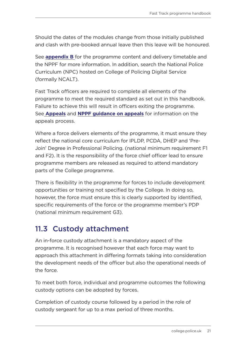<span id="page-22-0"></span>Should the dates of the modules change from those initially published and clash with pre-booked annual leave then this leave will be honoured.

See **[appendix B](#page-48-1)** for the programme content and delivery timetable and the NPPF for more information. In addition, search the National Police Curriculum (NPC) hosted on College of Policing Digital Service (formally NCALT).

Fast Track officers are required to complete all elements of the programme to meet the required standard as set out in this handbook. Failure to achieve this will result in officers exiting the programme. See **[Appeals](#page-42-1)** and **[NPPF guidance on appeals](https://assets.college.police.uk/s3fs-public/2021-04/national-police-promotion-framework-operating-manual.pdf)** for information on the appeals process.

Where a force delivers elements of the programme, it must ensure they reflect the national core curriculum for IPLDP, PCDA, DHEP and 'Pre-Join' Degree in Professional Policing. (national minimum requirement F1 and F2). It is the responsibility of the force chief officer lead to ensure programme members are released as required to attend mandatory parts of the College programme.

There is flexibility in the programme for forces to include development opportunities or training not specified by the College. In doing so, however, the force must ensure this is clearly supported by identified, specific requirements of the force or the programme member's PDP (national minimum requirement G3).

#### 11.3 Custody attachment

An in-force custody attachment is a mandatory aspect of the programme. It is recognised however that each force may want to approach this attachment in differing formats taking into consideration the development needs of the officer but also the operational needs of the force.

To meet both force, individual and programme outcomes the following custody options can be adopted by forces.

Completion of custody course followed by a period in the role of custody sergeant for up to a max period of three months.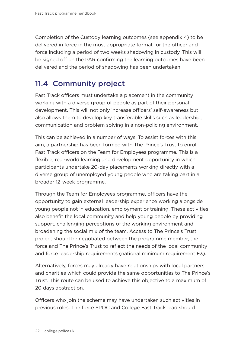<span id="page-23-0"></span>Completion of the Custody learning outcomes (see appendix 4) to be delivered in force in the most appropriate format for the officer and force including a period of two weeks shadowing in custody. This will be signed off on the PAR confirming the learning outcomes have been delivered and the period of shadowing has been undertaken.

#### 11.4 Community project

Fast Track officers must undertake a placement in the community working with a diverse group of people as part of their personal development. This will not only increase officers' self-awareness but also allows them to develop key transferable skills such as leadership, communication and problem solving in a non-policing environment.

This can be achieved in a number of ways. To assist forces with this aim, a partnership has been formed with The Prince's Trust to enrol Fast Track officers on the Team for Employees programme. This is a flexible, real-world learning and development opportunity in which participants undertake 20-day placements working directly with a diverse group of unemployed young people who are taking part in a broader 12-week programme.

Through the Team for Employees programme, officers have the opportunity to gain external leadership experience working alongside young people not in education, employment or training. These activities also benefit the local community and help young people by providing support, challenging perceptions of the working environment and broadening the social mix of the team. Access to The Prince's Trust project should be negotiated between the programme member, the force and The Prince's Trust to reflect the needs of the local community and force leadership requirements (national minimum requirement F3).

Alternatively, forces may already have relationships with local partners and charities which could provide the same opportunities to The Prince's Trust. This route can be used to achieve this objective to a maximum of 20 days abstraction.

Officers who join the scheme may have undertaken such activities in previous roles. The force SPOC and College Fast Track lead should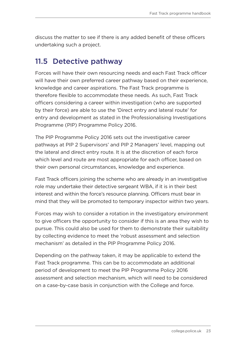<span id="page-24-0"></span>discuss the matter to see if there is any added benefit of these officers undertaking such a project.

#### 11.5 Detective pathway

Forces will have their own resourcing needs and each Fast Track officer will have their own preferred career pathway based on their experience, knowledge and career aspirations. The Fast Track programme is therefore flexible to accommodate these needs. As such, Fast Track officers considering a career within investigation (who are supported by their force) are able to use the 'Direct entry and lateral route' for entry and development as stated in the Professionalising Investigations Programme (PIP) Programme Policy 2016.

The PIP Programme Policy 2016 sets out the investigative career pathways at PIP 2 Supervisors' and PIP 2 Managers' level, mapping out the lateral and direct entry route. It is at the discretion of each force which level and route are most appropriate for each officer, based on their own personal circumstances, knowledge and experience.

Fast Track officers joining the scheme who are already in an investigative role may undertake their detective sergeant WBA, if it is in their best interest and within the force's resource planning. Officers must bear in mind that they will be promoted to temporary inspector within two years.

Forces may wish to consider a rotation in the investigatory environment to give officers the opportunity to consider if this is an area they wish to pursue. This could also be used for them to demonstrate their suitability by collecting evidence to meet the 'robust assessment and selection mechanism' as detailed in the PIP Programme Policy 2016.

Depending on the pathway taken, it may be applicable to extend the Fast Track programme. This can be to accommodate an additional period of development to meet the PIP Programme Policy 2016 assessment and selection mechanism, which will need to be considered on a case-by-case basis in conjunction with the College and force.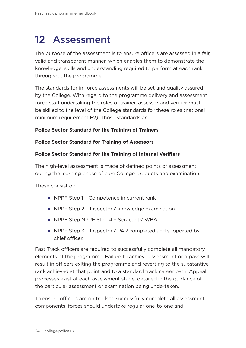### <span id="page-25-0"></span>12 Assessment

The purpose of the assessment is to ensure officers are assessed in a fair, valid and transparent manner, which enables them to demonstrate the knowledge, skills and understanding required to perform at each rank throughout the programme.

The standards for in-force assessments will be set and quality assured by the College. With regard to the programme delivery and assessment, force staff undertaking the roles of trainer, assessor and verifier must be skilled to the level of the College standards for these roles (national minimum requirement F2). Those standards are:

#### **Police Sector Standard for the Training of Trainers**

#### **Police Sector Standard for Training of Assessors**

#### **Police Sector Standard for the Training of Internal Verifiers**

The high-level assessment is made of defined points of assessment during the learning phase of core College products and examination.

These consist of:

- NPPF Step 1 Competence in current rank
- NPPF Step 2 Inspectors' knowledge examination
- **NPPF Step NPPF Step 4 Sergeants' WBA**
- NPPF Step 3 Inspectors' PAR completed and supported by chief officer.

Fast Track officers are required to successfully complete all mandatory elements of the programme. Failure to achieve assessment or a pass will result in officers exiting the programme and reverting to the substantive rank achieved at that point and to a standard track career path. Appeal processes exist at each assessment stage, detailed in the guidance of the particular assessment or examination being undertaken.

To ensure officers are on track to successfully complete all assessment components, forces should undertake regular one-to-one and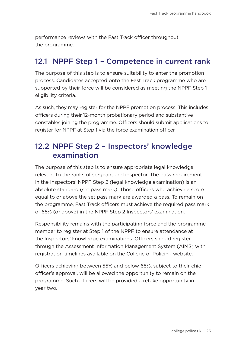<span id="page-26-0"></span>performance reviews with the Fast Track officer throughout the programme.

#### 12.1 NPPF Step 1 – Competence in current rank

The purpose of this step is to ensure suitability to enter the promotion process. Candidates accepted onto the Fast Track programme who are supported by their force will be considered as meeting the NPPF Step 1 eligibility criteria.

As such, they may register for the NPPF promotion process. This includes officers during their 12-month probationary period and substantive constables joining the programme. Officers should submit applications to register for NPPF at Step 1 via the force examination officer.

#### 12.2 NPPF Step 2 – Inspectors' knowledge examination

The purpose of this step is to ensure appropriate legal knowledge relevant to the ranks of sergeant and inspector. The pass requirement in the Inspectors' NPPF Step 2 (legal knowledge examination) is an absolute standard (set pass mark). Those officers who achieve a score equal to or above the set pass mark are awarded a pass. To remain on the programme, Fast Track officers must achieve the required pass mark of 65% (or above) in the NPPF Step 2 Inspectors' examination.

Responsibility remains with the participating force and the programme member to register at Step 1 of the NPPF to ensure attendance at the Inspectors' knowledge examinations. Officers should register through the Assessment Information Management System (AIMS) with registration timelines available on the College of Policing website.

Officers achieving between 55% and below 65%, subject to their chief officer's approval, will be allowed the opportunity to remain on the programme. Such officers will be provided a retake opportunity in year two.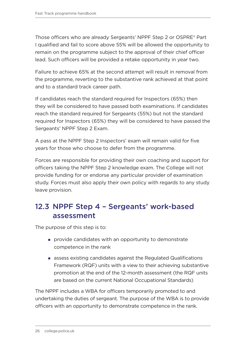<span id="page-27-0"></span>Those officers who are already Sergeants' NPPF Step 2 or OSPRE® Part I qualified and fail to score above 55% will be allowed the opportunity to remain on the programme subject to the approval of their chief officer lead. Such officers will be provided a retake opportunity in year two.

Failure to achieve 65% at the second attempt will result in removal from the programme, reverting to the substantive rank achieved at that point and to a standard track career path.

If candidates reach the standard required for Inspectors (65%) then they will be considered to have passed both examinations. If candidates reach the standard required for Sergeants (55%) but not the standard required for Inspectors (65%) they will be considered to have passed the Sergeants' NPPF Step 2 Exam.

A pass at the NPPF Step 2 Inspectors' exam will remain valid for five years for those who choose to defer from the programme.

Forces are responsible for providing their own coaching and support for officers taking the NPPF Step 2 knowledge exam. The College will not provide funding for or endorse any particular provider of examination study. Forces must also apply their own policy with regards to any study leave provision.

#### 12.3 NPPF Step 4 – Sergeants' work-based assessment

The purpose of this step is to:

- provide candidates with an opportunity to demonstrate competence in the rank
- assess existing candidates against the Regulated Qualifications Framework (RQF) units with a view to their achieving substantive promotion at the end of the 12-month assessment (the RQF units are based on the current National Occupational Standards)

The NPPF includes a WBA for officers temporarily promoted to and undertaking the duties of sergeant. The purpose of the WBA is to provide officers with an opportunity to demonstrate competence in the rank.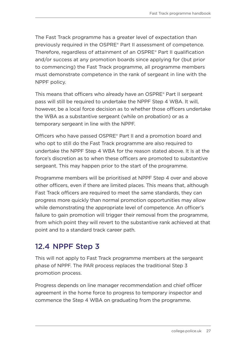<span id="page-28-0"></span>The Fast Track programme has a greater level of expectation than previously required in the OSPRE® Part II assessment of competence. Therefore, regardless of attainment of an OSPRE® Part II qualification and/or success at any promotion boards since applying for (but prior to commencing) the Fast Track programme, all programme members must demonstrate competence in the rank of sergeant in line with the NPPF policy.

This means that officers who already have an OSPRE® Part II sergeant pass will still be required to undertake the NPPF Step 4 WBA. It will, however, be a local force decision as to whether those officers undertake the WBA as a substantive sergeant (while on probation) or as a temporary sergeant in line with the NPPF.

Officers who have passed OSPRE® Part II and a promotion board and who opt to still do the Fast Track programme are also required to undertake the NPPF Step 4 WBA for the reason stated above. It is at the force's discretion as to when these officers are promoted to substantive sergeant. This may happen prior to the start of the programme.

Programme members will be prioritised at NPPF Step 4 over and above other officers, even if there are limited places. This means that, although Fast Track officers are required to meet the same standards, they can progress more quickly than normal promotion opportunities may allow while demonstrating the appropriate level of competence. An officer's failure to gain promotion will trigger their removal from the programme, from which point they will revert to the substantive rank achieved at that point and to a standard track career path.

### 12.4 NPPF Step 3

This will not apply to Fast Track programme members at the sergeant phase of NPPF. The PAR process replaces the traditional Step 3 promotion process.

Progress depends on line manager recommendation and chief officer agreement in the home force to progress to temporary inspector and commence the Step 4 WBA on graduating from the programme.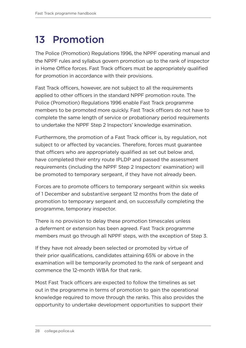### <span id="page-29-0"></span>13 Promotion

The Police (Promotion) Regulations 1996, the NPPF operating manual and the NPPF rules and syllabus govern promotion up to the rank of inspector in Home Office forces. Fast Track officers must be appropriately qualified for promotion in accordance with their provisions.

Fast Track officers, however, are not subject to all the requirements applied to other officers in the standard NPPF promotion route. The Police (Promotion) Regulations 1996 enable Fast Track programme members to be promoted more quickly. Fast Track officers do not have to complete the same length of service or probationary period requirements to undertake the NPPF Step 2 Inspectors' knowledge examination.

Furthermore, the promotion of a Fast Track officer is, by regulation, not subject to or affected by vacancies. Therefore, forces must guarantee that officers who are appropriately qualified as set out below and, have completed their entry route IPLDP and passed the assessment requirements (including the NPPF Step 2 Inspectors' examination) will be promoted to temporary sergeant, if they have not already been.

Forces are to promote officers to temporary sergeant within six weeks of 1 December and substantive sergeant 12 months from the date of promotion to temporary sergeant and, on successfully completing the programme, temporary inspector.

There is no provision to delay these promotion timescales unless a deferment or extension has been agreed. Fast Track programme members must go through all NPPF steps, with the exception of Step 3.

If they have not already been selected or promoted by virtue of their prior qualifications, candidates attaining 65% or above in the examination will be temporarily promoted to the rank of sergeant and commence the 12-month WBA for that rank.

Most Fast Track officers are expected to follow the timelines as set out in the programme in terms of promotion to gain the operational knowledge required to move through the ranks. This also provides the opportunity to undertake development opportunities to support their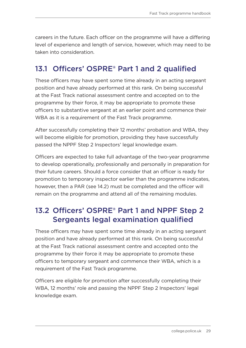<span id="page-30-0"></span>careers in the future. Each officer on the programme will have a differing level of experience and length of service, however, which may need to be taken into consideration.

#### 13.1 Officers' OSPRE<sup>®</sup> Part 1 and 2 qualified

These officers may have spent some time already in an acting sergeant position and have already performed at this rank. On being successful at the Fast Track national assessment centre and accepted on to the programme by their force, it may be appropriate to promote these officers to substantive sergeant at an earlier point and commence their WBA as it is a requirement of the Fast Track programme.

After successfully completing their 12 months' probation and WBA, they will become eligible for promotion, providing they have successfully passed the NPPF Step 2 Inspectors' legal knowledge exam.

Officers are expected to take full advantage of the two-year programme to develop operationally, professionally and personally in preparation for their future careers. Should a force consider that an officer is ready for promotion to temporary inspector earlier than the programme indicates, however, then a PAR (see 14.2) must be completed and the officer will remain on the programme and attend all of the remaining modules.

### 13.2 Officers' OSPRE® Part 1 and NPPF Step 2 Sergeants legal examination qualified

These officers may have spent some time already in an acting sergeant position and have already performed at this rank. On being successful at the Fast Track national assessment centre and accepted onto the programme by their force it may be appropriate to promote these officers to temporary sergeant and commence their WBA, which is a requirement of the Fast Track programme.

Officers are eligible for promotion after successfully completing their WBA, 12 months' role and passing the NPPF Step 2 Inspectors' legal knowledge exam.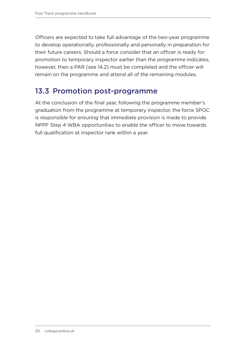<span id="page-31-0"></span>Officers are expected to take full advantage of the two-year programme to develop operationally, professionally and personally in preparation for their future careers. Should a force consider that an officer is ready for promotion to temporary inspector earlier than the programme indicates, however, then a PAR (see 14.2) must be completed and the officer will remain on the programme and attend all of the remaining modules.

#### 13.3 Promotion post-programme

At the conclusion of the final year, following the programme member's graduation from the programme at temporary inspector, the force SPOC is responsible for ensuring that immediate provision is made to provide NPPF Step 4 WBA opportunities to enable the officer to move towards full qualification at inspector rank within a year.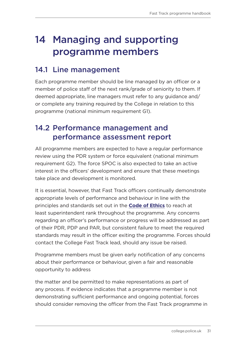### <span id="page-32-0"></span>14 Managing and supporting programme members

#### 14.1 Line management

Each programme member should be line managed by an officer or a member of police staff of the next rank/grade of seniority to them. If deemed appropriate, line managers must refer to any guidance and/ or complete any training required by the College in relation to this programme (national minimum requirement G1).

#### 14.2 Performance management and performance assessment report

All programme members are expected to have a regular performance review using the PDR system or force equivalent (national minimum requirement G2). The force SPOC is also expected to take an active interest in the officers' development and ensure that these meetings take place and development is monitored.

It is essential, however, that Fast Track officers continually demonstrate appropriate levels of performance and behaviour in line with the principles and standards set out in the **[Code of Ethics](https://www.college.police.uk/ethics/code-of-ethics)** to reach at least superintendent rank throughout the programme. Any concerns regarding an officer's performance or progress will be addressed as part of their PDR, PDP and PAR, but consistent failure to meet the required standards may result in the officer exiting the programme. Forces should contact the College Fast Track lead, should any issue be raised.

Programme members must be given early notification of any concerns about their performance or behaviour, given a fair and reasonable opportunity to address

the matter and be permitted to make representations as part of any process. If evidence indicates that a programme member is not demonstrating sufficient performance and ongoing potential, forces should consider removing the officer from the Fast Track programme in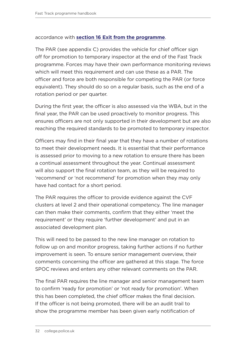#### accordance with **[section 16 Exit from the programme](#page-40-1)**.

The PAR (see appendix C) provides the vehicle for chief officer sign off for promotion to temporary inspector at the end of the Fast Track programme. Forces may have their own performance monitoring reviews which will meet this requirement and can use these as a PAR. The officer and force are both responsible for competing the PAR (or force equivalent). They should do so on a regular basis, such as the end of a rotation period or per quarter.

During the first year, the officer is also assessed via the WBA, but in the final year, the PAR can be used proactively to monitor progress. This ensures officers are not only supported in their development but are also reaching the required standards to be promoted to temporary inspector.

Officers may find in their final year that they have a number of rotations to meet their development needs. It is essential that their performance is assessed prior to moving to a new rotation to ensure there has been a continual assessment throughout the year. Continual assessment will also support the final rotation team, as they will be required to 'recommend' or 'not recommend' for promotion when they may only have had contact for a short period.

The PAR requires the officer to provide evidence against the CVF clusters at level 2 and their operational competency. The line manager can then make their comments, confirm that they either 'meet the requirement' or they require 'further development' and put in an associated development plan.

This will need to be passed to the new line manager on rotation to follow up on and monitor progress, taking further actions if no further improvement is seen. To ensure senior management overview, their comments concerning the officer are gathered at this stage. The force SPOC reviews and enters any other relevant comments on the PAR.

The final PAR requires the line manager and senior management team to confirm 'ready for promotion' or 'not ready for promotion'. When this has been completed, the chief officer makes the final decision. If the officer is not being promoted, there will be an audit trail to show the programme member has been given early notification of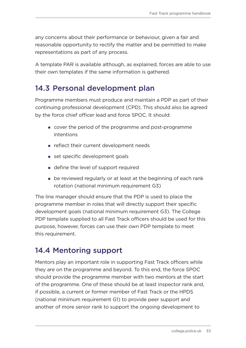<span id="page-34-0"></span>any concerns about their performance or behaviour, given a fair and reasonable opportunity to rectify the matter and be permitted to make representations as part of any process.

A template PAR is available although, as explained, forces are able to use their own templates if the same information is gathered.

#### <span id="page-34-1"></span>14.3 Personal development plan

Programme members must produce and maintain a PDP as part of their continuing professional development (CPD). This should also be agreed by the force chief officer lead and force SPOC. It should:

- cover the period of the programme and post-programme intentions
- reflect their current development needs
- set specific development goals
- define the level of support required
- be reviewed regularly or at least at the beginning of each rank rotation (national minimum requirement G3)

The line manager should ensure that the PDP is used to place the programme member in roles that will directly support their specific development goals (national minimum requirement G3). The College PDP template supplied to all Fast Track officers should be used for this purpose, however, forces can use their own PDP template to meet this requirement.

### 14.4 Mentoring support

Mentors play an important role in supporting Fast Track officers while they are on the programme and beyond. To this end, the force SPOC should provide the programme member with two mentors at the start of the programme. One of these should be at least inspector rank and, if possible, a current or former member of Fast Track or the HPDS (national minimum requirement G1) to provide peer support and another of more senior rank to support the ongoing development to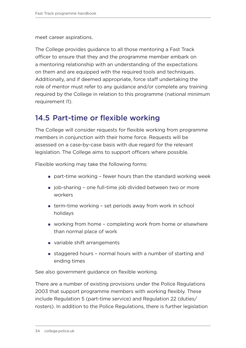<span id="page-35-0"></span>meet career aspirations.

The College provides guidance to all those mentoring a Fast Track officer to ensure that they and the programme member embark on a mentoring relationship with an understanding of the expectations on them and are equipped with the required tools and techniques. Additionally, and if deemed appropriate, force staff undertaking the role of mentor must refer to any guidance and/or complete any training required by the College in relation to this programme (national minimum requirement I1).

#### 14.5 Part-time or flexible working

The College will consider requests for flexible working from programme members in conjunction with their home force. Requests will be assessed on a case-by-case basis with due regard for the relevant legislation. The College aims to support officers where possible.

Flexible working may take the following forms:

- part-time working fewer hours than the standard working week
- job-sharing one full-time job divided between two or more workers
- term-time working set periods away from work in school holidays
- working from home completing work from home or elsewhere than normal place of work
- variable shift arrangements
- staggered hours normal hours with a number of starting and ending times

See also government guidance on flexible working.

There are a number of existing provisions under the Police Regulations 2003 that support programme members with working flexibly. These include Regulation 5 (part-time service) and Regulation 22 (duties/ rosters). In addition to the Police Regulations, there is further legislation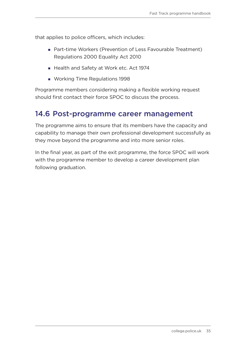<span id="page-36-0"></span>that applies to police officers, which includes:

- Part-time Workers (Prevention of Less Favourable Treatment) Regulations 2000 Equality Act 2010
- Health and Safety at Work etc. Act 1974
- **Working Time Regulations 1998**

Programme members considering making a flexible working request should first contact their force SPOC to discuss the process.

#### 14.6 Post-programme career management

The programme aims to ensure that its members have the capacity and capability to manage their own professional development successfully as they move beyond the programme and into more senior roles.

In the final year, as part of the exit programme, the force SPOC will work with the programme member to develop a career development plan following graduation.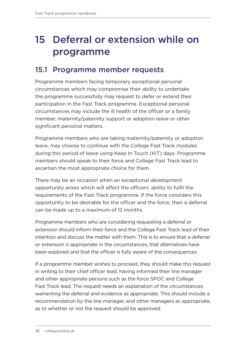### <span id="page-37-0"></span>15 Deferral or extension while on programme

#### 15.1 Programme member requests

Programme members facing temporary exceptional personal circumstances which may compromise their ability to undertake the programme successfully may request to defer or extend their participation in the Fast Track programme. Exceptional personal circumstances may include the ill health of the officer or a family member, maternity/paternity support or adoption leave or other significant personal matters.

Programme members who are taking maternity/paternity or adoption leave, may choose to continue with the College Fast Track modules during this period of leave using Keep In Touch (KIT) days. Programme members should speak to their force and College Fast Track lead to ascertain the most appropriate choice for them.

There may be an occasion when an exceptional development opportunity arises which will affect the officers' ability to fulfil the requirements of the Fast Track programme. If the force considers this opportunity to be desirable for the officer and the force, then a deferral can be made up to a maximum of 12 months.

Programme members who are considering requesting a deferral or extension should inform their force and the College Fast Track lead of their intention and discuss the matter with them. This is to ensure that a deferral or extension is appropriate in the circumstances, that alternatives have been explored and that the officer is fully aware of the consequences.

If a programme member wishes to proceed, they should make this request in writing to their chief officer lead, having informed their line manager and other appropriate persons such as the force SPOC and College Fast Track lead. The request needs an explanation of the circumstances warranting the deferral and evidence as appropriate. This should include a recommendation by the line manager, and other managers as appropriate, as to whether or not the request should be approved.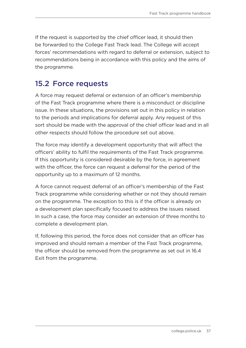<span id="page-38-0"></span>If the request is supported by the chief officer lead, it should then be forwarded to the College Fast Track lead. The College will accept forces' recommendations with regard to deferral or extension, subject to recommendations being in accordance with this policy and the aims of the programme.

#### 15.2 Force requests

A force may request deferral or extension of an officer's membership of the Fast Track programme where there is a misconduct or discipline issue. In these situations, the provisions set out in this policy in relation to the periods and implications for deferral apply. Any request of this sort should be made with the approval of the chief officer lead and in all other respects should follow the procedure set out above.

The force may identify a development opportunity that will affect the officers' ability to fulfil the requirements of the Fast Track programme. If this opportunity is considered desirable by the force, in agreement with the officer, the force can request a deferral for the period of the opportunity up to a maximum of 12 months.

A force cannot request deferral of an officer's membership of the Fast Track programme while considering whether or not they should remain on the programme. The exception to this is if the officer is already on a development plan specifically focused to address the issues raised. In such a case, the force may consider an extension of three months to complete a development plan.

If, following this period, the force does not consider that an officer has improved and should remain a member of the Fast Track programme, the officer should be removed from the programme as set out in 16.4 Exit from the programme.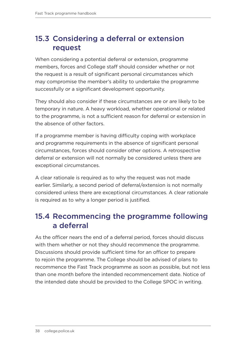#### <span id="page-39-0"></span>15.3 Considering a deferral or extension request

When considering a potential deferral or extension, programme members, forces and College staff should consider whether or not the request is a result of significant personal circumstances which may compromise the member's ability to undertake the programme successfully or a significant development opportunity.

They should also consider if these circumstances are or are likely to be temporary in nature. A heavy workload, whether operational or related to the programme, is not a sufficient reason for deferral or extension in the absence of other factors.

If a programme member is having difficulty coping with workplace and programme requirements in the absence of significant personal circumstances, forces should consider other options. A retrospective deferral or extension will not normally be considered unless there are exceptional circumstances.

A clear rationale is required as to why the request was not made earlier. Similarly, a second period of deferral/extension is not normally considered unless there are exceptional circumstances. A clear rationale is required as to why a longer period is justified.

#### 15.4 Recommencing the programme following a deferral

As the officer nears the end of a deferral period, forces should discuss with them whether or not they should recommence the programme. Discussions should provide sufficient time for an officer to prepare to rejoin the programme. The College should be advised of plans to recommence the Fast Track programme as soon as possible, but not less than one month before the intended recommencement date. Notice of the intended date should be provided to the College SPOC in writing.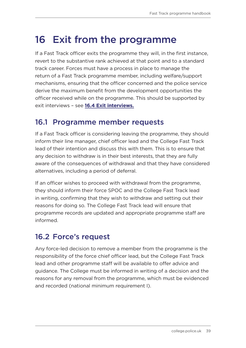### <span id="page-40-1"></span><span id="page-40-0"></span>16 Exit from the programme

If a Fast Track officer exits the programme they will, in the first instance, revert to the substantive rank achieved at that point and to a standard track career. Forces must have a process in place to manage the return of a Fast Track programme member, including welfare/support mechanisms, ensuring that the officer concerned and the police service derive the maximum benefit from the development opportunities the officer received while on the programme. This should be supported by exit interviews – see **[16.4 Exit interviews.](#page-41-1)**

#### 16.1 Programme member requests

If a Fast Track officer is considering leaving the programme, they should inform their line manager, chief officer lead and the College Fast Track lead of their intention and discuss this with them. This is to ensure that any decision to withdraw is in their best interests, that they are fully aware of the consequences of withdrawal and that they have considered alternatives, including a period of deferral.

If an officer wishes to proceed with withdrawal from the programme, they should inform their force SPOC and the College Fast Track lead in writing, confirming that they wish to withdraw and setting out their reasons for doing so. The College Fast Track lead will ensure that programme records are updated and appropriate programme staff are informed.

### 16.2 Force's request

Any force-led decision to remove a member from the programme is the responsibility of the force chief officer lead, but the College Fast Track lead and other programme staff will be available to offer advice and guidance. The College must be informed in writing of a decision and the reasons for any removal from the programme, which must be evidenced and recorded (national minimum requirement I).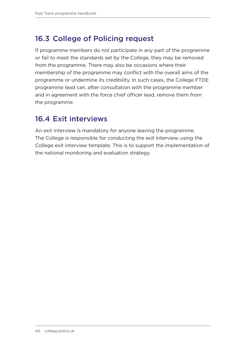#### <span id="page-41-0"></span>16.3 College of Policing request

If programme members do not participate in any part of the programme or fail to meet the standards set by the College, they may be removed from the programme. There may also be occasions where their membership of the programme may conflict with the overall aims of the programme or undermine its credibility. In such cases, the College FTDE programme lead can, after consultation with the programme member and in agreement with the force chief officer lead, remove them from the programme.

#### <span id="page-41-1"></span>16.4 Exit interviews

An exit interview is mandatory for anyone leaving the programme. The College is responsible for conducting the exit interview, using the College exit interview template. This is to support the implementation of the national monitoring and evaluation strategy.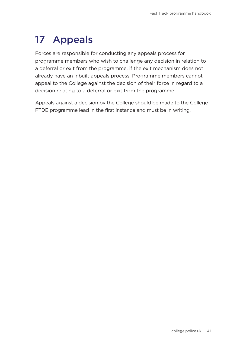## <span id="page-42-1"></span><span id="page-42-0"></span>17 Appeals

Forces are responsible for conducting any appeals process for programme members who wish to challenge any decision in relation to a deferral or exit from the programme, if the exit mechanism does not already have an inbuilt appeals process. Programme members cannot appeal to the College against the decision of their force in regard to a decision relating to a deferral or exit from the programme.

Appeals against a decision by the College should be made to the College FTDE programme lead in the first instance and must be in writing.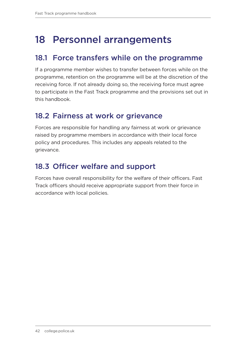### <span id="page-43-0"></span>18 Personnel arrangements

#### 18.1 Force transfers while on the programme

If a programme member wishes to transfer between forces while on the programme, retention on the programme will be at the discretion of the receiving force. If not already doing so, the receiving force must agree to participate in the Fast Track programme and the provisions set out in this handbook.

#### 18.2 Fairness at work or grievance

Forces are responsible for handling any fairness at work or grievance raised by programme members in accordance with their local force policy and procedures. This includes any appeals related to the grievance.

### 18.3 Officer welfare and support

Forces have overall responsibility for the welfare of their officers. Fast Track officers should receive appropriate support from their force in accordance with local policies.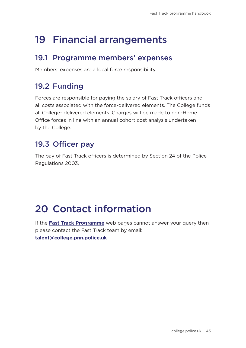### <span id="page-44-0"></span>19 Financial arrangements

#### 19.1 Programme members' expenses

Members' expenses are a local force responsibility.

### 19.2 Funding

Forces are responsible for paying the salary of Fast Track officers and all costs associated with the force-delivered elements. The College funds all College- delivered elements. Charges will be made to non-Home Office forces in line with an annual cohort cost analysis undertaken by the College.

### 19.3 Officer pay

The pay of Fast Track officers is determined by Section 24 of the Police Regulations 2003.

### 20 Contact information

If the **[Fast Track Programme](https://www.college.police.uk/career-learning/joining-police)** web pages cannot answer your query then please contact the Fast Track team by email: **[talent@college.pnn.police.uk](mailto:talent%40college.pnn.police.uk?subject=)**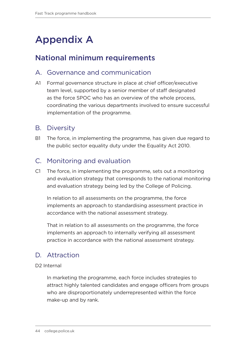### <span id="page-45-1"></span><span id="page-45-0"></span>Appendix A

#### National minimum requirements

#### A. Governance and communication

A1 Formal governance structure in place at chief officer/executive team level, supported by a senior member of staff designated as the force SPOC who has an overview of the whole process, coordinating the various departments involved to ensure successful implementation of the programme.

#### B. Diversity

B1 The force, in implementing the programme, has given due regard to the public sector equality duty under the Equality Act 2010.

#### C. Monitoring and evaluation

C1 The force, in implementing the programme, sets out a monitoring and evaluation strategy that corresponds to the national monitoring and evaluation strategy being led by the College of Policing.

In relation to all assessments on the programme, the force implements an approach to standardising assessment practice in accordance with the national assessment strategy.

That in relation to all assessments on the programme, the force implements an approach to internally verifying all assessment practice in accordance with the national assessment strategy.

#### D. Attraction

#### D2 Internal

In marketing the programme, each force includes strategies to attract highly talented candidates and engage officers from groups who are disproportionately underrepresented within the force make-up and by rank.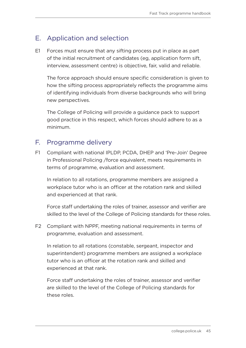#### E. Application and selection

E1 Forces must ensure that any sifting process put in place as part of the initial recruitment of candidates (eg, application form sift, interview, assessment centre) is objective, fair, valid and reliable.

The force approach should ensure specific consideration is given to how the sifting process appropriately reflects the programme aims of identifying individuals from diverse backgrounds who will bring new perspectives.

The College of Policing will provide a guidance pack to support good practice in this respect, which forces should adhere to as a minimum.

#### F. Programme delivery

F1 Compliant with national IPLDP, PCDA, DHEP and 'Pre-Join' Degree in Professional Policing /force equivalent, meets requirements in terms of programme, evaluation and assessment.

In relation to all rotations, programme members are assigned a workplace tutor who is an officer at the rotation rank and skilled and experienced at that rank.

Force staff undertaking the roles of trainer, assessor and verifier are skilled to the level of the College of Policing standards for these roles.

F2 Compliant with NPPF, meeting national requirements in terms of programme, evaluation and assessment.

In relation to all rotations (constable, sergeant, inspector and superintendent) programme members are assigned a workplace tutor who is an officer at the rotation rank and skilled and experienced at that rank.

Force staff undertaking the roles of trainer, assessor and verifier are skilled to the level of the College of Policing standards for these roles.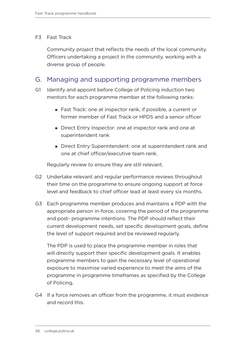#### F3 Fast Track

Community project that reflects the needs of the local community. Officers undertaking a project in the community, working with a diverse group of people.

#### G. Managing and supporting programme members

- G1 Identify and appoint before College of Policing induction two mentors for each programme member at the following ranks:
	- Fast Track: one at inspector rank, if possible, a current or former member of Fast Track or HPDS and a senior officer
	- Direct Entry Inspector: one at inspector rank and one at superintendent rank
	- Direct Entry Superintendent: one at superintendent rank and one at chief officer/executive team rank.

Regularly review to ensure they are still relevant.

- G2 Undertake relevant and regular performance reviews throughout their time on the programme to ensure ongoing support at force level and feedback to chief officer lead at least every six months.
- G3 Each programme member produces and maintains a PDP with the appropriate person in-force, covering the period of the programme and post- programme intentions. The PDP should reflect their current development needs, set specific development goals, define the level of support required and be reviewed regularly.

The PDP is used to place the programme member in roles that will directly support their specific development goals. It enables programme members to gain the necessary level of operational exposure to maximise varied experience to meet the aims of the programme in programme timeframes as specified by the College of Policing.

G4 If a force removes an officer from the programme, it must evidence and record this.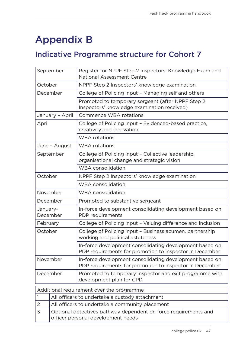### <span id="page-48-1"></span><span id="page-48-0"></span>Appendix B

### Indicative Programme structure for Cohort 7

| September                                                                                                  |                                                | Register for NPPF Step 2 Inspectors' Knowledge Exam and<br><b>National Assessment Centre</b>                       |  |  |
|------------------------------------------------------------------------------------------------------------|------------------------------------------------|--------------------------------------------------------------------------------------------------------------------|--|--|
| October                                                                                                    |                                                | NPPF Step 2 Inspectors' knowledge examination                                                                      |  |  |
|                                                                                                            | December                                       | College of Policing input - Managing self and others                                                               |  |  |
|                                                                                                            |                                                | Promoted to temporary sergeant (after NPPF Step 2)<br>Inspectors' knowledge examination received)                  |  |  |
|                                                                                                            | January - April                                | Commence WBA rotations                                                                                             |  |  |
| April                                                                                                      |                                                | College of Policing input - Evidenced-based practice,<br>creativity and innovation                                 |  |  |
|                                                                                                            |                                                | <b>WBA</b> rotations                                                                                               |  |  |
|                                                                                                            | June - August                                  | <b>WBA</b> rotations                                                                                               |  |  |
|                                                                                                            | September                                      | College of Policing input - Collective leadership,<br>organisational change and strategic vision                   |  |  |
|                                                                                                            |                                                | <b>WBA</b> consolidation                                                                                           |  |  |
| October                                                                                                    |                                                | NPPF Step 2 Inspectors' knowledge examination                                                                      |  |  |
|                                                                                                            |                                                | <b>WBA</b> consolidation                                                                                           |  |  |
|                                                                                                            | November                                       | <b>WBA</b> consolidation                                                                                           |  |  |
|                                                                                                            | December                                       | Promoted to substantive sergeant                                                                                   |  |  |
| January-<br>December                                                                                       |                                                | In-force development consolidating development based on<br>PDP requirements                                        |  |  |
| February                                                                                                   |                                                | College of Policing input - Valuing difference and inclusion                                                       |  |  |
| October                                                                                                    |                                                | College of Policing input - Business acumen, partnership<br>working and political astuteness                       |  |  |
|                                                                                                            |                                                | In-force development consolidating development based on<br>PDP requirements for promotion to inspector in December |  |  |
| November                                                                                                   |                                                | In-force development consolidating development based on<br>PDP requirements for promotion to inspector in December |  |  |
| December                                                                                                   |                                                | Promoted to temporary inspector and exit programme with<br>development plan for CPD                                |  |  |
| Additional requirement over the programme                                                                  |                                                |                                                                                                                    |  |  |
| 1                                                                                                          | All officers to undertake a custody attachment |                                                                                                                    |  |  |
| $\overline{2}$                                                                                             |                                                | All officers to undertake a community placement                                                                    |  |  |
| 3<br>Optional detectives pathway dependent on force requirements and<br>officer personal development needs |                                                |                                                                                                                    |  |  |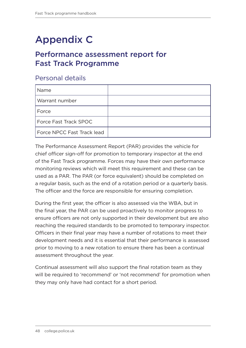### <span id="page-49-0"></span>Appendix C

#### Performance assessment report for Fast Track Programme

#### Personal details

| Name                       |  |
|----------------------------|--|
| Warrant number             |  |
| Force                      |  |
| Force Fast Track SPOC      |  |
| Force NPCC Fast Track lead |  |

The Performance Assessment Report (PAR) provides the vehicle for chief officer sign-off for promotion to temporary inspector at the end of the Fast Track programme. Forces may have their own performance monitoring reviews which will meet this requirement and these can be used as a PAR. The PAR (or force equivalent) should be completed on a regular basis, such as the end of a rotation period or a quarterly basis. The officer and the force are responsible for ensuring completion.

During the first year, the officer is also assessed via the WBA, but in the final year, the PAR can be used proactively to monitor progress to ensure officers are not only supported in their development but are also reaching the required standards to be promoted to temporary inspector. Officers in their final year may have a number of rotations to meet their development needs and it is essential that their performance is assessed prior to moving to a new rotation to ensure there has been a continual assessment throughout the year.

Continual assessment will also support the final rotation team as they will be required to 'recommend' or 'not recommend' for promotion when they may only have had contact for a short period.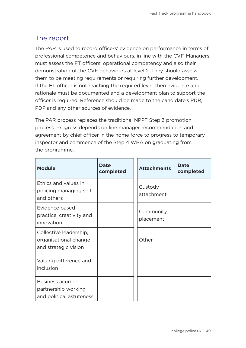#### The report

The PAR is used to record officers' evidence on performance in terms of professional competence and behaviours, in line with the CVF. Managers must assess the FT officers' operational competency and also their demonstration of the CVF behaviours at level 2. They should assess them to be meeting requirements or requiring further development. If the FT officer is not reaching the required level, then evidence and rationale must be documented and a development plan to support the officer is required. Reference should be made to the candidate's PDR, PDP and any other sources of evidence.

The PAR process replaces the traditional NPPF Step 3 promotion process. Progress depends on line manager recommendation and agreement by chief officer in the home force to progress to temporary inspector and commence of the Step 4 WBA on graduating from the programme.

| <b>Module</b>                                                           | <b>Date</b><br>completed | <b>Attachments</b>     | <b>Date</b><br>completed |
|-------------------------------------------------------------------------|--------------------------|------------------------|--------------------------|
| Ethics and values in<br>policing managing self<br>and others            |                          | Custody<br>attachment  |                          |
| Evidence based<br>practice, creativity and<br>innovation                |                          | Community<br>placement |                          |
| Collective leadership,<br>organisational change<br>and strategic vision |                          | Other                  |                          |
| Valuing difference and<br>inclusion                                     |                          |                        |                          |
| Business acumen,<br>partnership working<br>and political astuteness     |                          |                        |                          |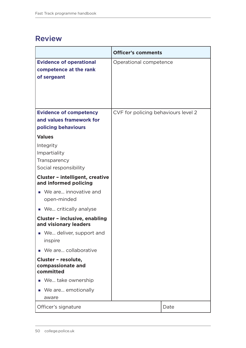#### <span id="page-51-0"></span>Review

|                                                                                          | <b>Officer's comments</b>           |      |
|------------------------------------------------------------------------------------------|-------------------------------------|------|
| <b>Evidence of operational</b><br>competence at the rank<br>of sergeant                  | Operational competence              |      |
| <b>Evidence of competency</b><br>and values framework for<br>policing behaviours         | CVF for policing behaviours level 2 |      |
| <b>Values</b><br>Integrity<br>Impartiality<br>Transparency<br>Social responsibility      |                                     |      |
| <b>Cluster - intelligent, creative</b><br>and informed policing                          |                                     |      |
| We are innovative and<br>open-minded                                                     |                                     |      |
| • We critically analyse<br><b>Cluster - inclusive, enabling</b><br>and visionary leaders |                                     |      |
| We deliver, support and<br>inspire                                                       |                                     |      |
| We are collaborative                                                                     |                                     |      |
| Cluster - resolute,<br>compassionate and<br>committed                                    |                                     |      |
| We take ownership<br>$\mathcal{L}_{\mathcal{A}}$                                         |                                     |      |
| We are emotionally<br>п<br>aware                                                         |                                     |      |
| Officer's signature                                                                      |                                     | Date |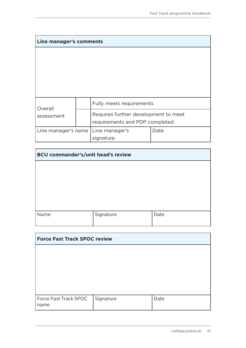| Line manager's comments |  |                                                                        |      |
|-------------------------|--|------------------------------------------------------------------------|------|
|                         |  |                                                                        |      |
|                         |  |                                                                        |      |
|                         |  |                                                                        |      |
|                         |  |                                                                        |      |
|                         |  |                                                                        |      |
| Overall                 |  | Fully meets requirements                                               |      |
| assessment              |  | Requires further development to meet<br>requirements and PDP completed |      |
| Line manager's name     |  | Line manager's<br>signature                                            | Date |

| <b>BCU commander's/unit head's review</b> |           |      |  |
|-------------------------------------------|-----------|------|--|
|                                           |           |      |  |
|                                           |           |      |  |
|                                           |           |      |  |
|                                           |           |      |  |
| Name                                      | Signature | Date |  |

| <b>Force Fast Track SPOC review</b> |           |      |  |
|-------------------------------------|-----------|------|--|
|                                     |           |      |  |
|                                     |           |      |  |
|                                     |           |      |  |
|                                     |           |      |  |
| Force Fast Track SPOC               | Signature | Date |  |
| name                                |           |      |  |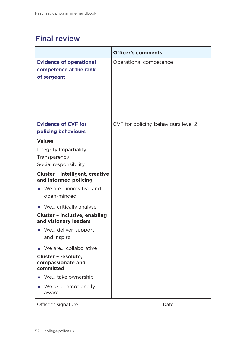#### <span id="page-53-0"></span>Final review

|                                                                         | <b>Officer's comments</b>           |      |
|-------------------------------------------------------------------------|-------------------------------------|------|
| <b>Evidence of operational</b><br>competence at the rank<br>of sergeant | Operational competence              |      |
| <b>Evidence of CVF for</b>                                              | CVF for policing behaviours level 2 |      |
| policing behaviours                                                     |                                     |      |
| <b>Values</b>                                                           |                                     |      |
| Integrity Impartiality                                                  |                                     |      |
| Transparency                                                            |                                     |      |
| Social responsibility                                                   |                                     |      |
| <b>Cluster - intelligent, creative</b><br>and informed policing         |                                     |      |
| ■ We are innovative and<br>open-minded                                  |                                     |      |
| ■ We critically analyse                                                 |                                     |      |
| <b>Cluster - inclusive, enabling</b><br>and visionary leaders           |                                     |      |
| • We deliver, support<br>and inspire                                    |                                     |      |
| We are collaborative<br>m.                                              |                                     |      |
| Cluster - resolute,<br>compassionate and<br>committed                   |                                     |      |
| We take ownership<br>$\mathcal{L}_{\mathcal{A}}$                        |                                     |      |
| We are emotionally<br>$\mathcal{L}_{\mathcal{A}}$<br>aware              |                                     |      |
| Officer's signature                                                     |                                     | Date |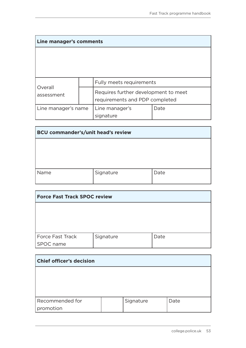| Line manager's comments |  |                                                                        |      |
|-------------------------|--|------------------------------------------------------------------------|------|
|                         |  |                                                                        |      |
|                         |  |                                                                        |      |
|                         |  |                                                                        |      |
|                         |  | Fully meets requirements                                               |      |
| Overall<br>assessment   |  | Requires further development to meet<br>requirements and PDP completed |      |
| Line manager's name     |  | Line manager's                                                         | Date |
|                         |  | signature                                                              |      |

| <b>BCU commander's/unit head's review</b> |           |      |  |  |
|-------------------------------------------|-----------|------|--|--|
|                                           |           |      |  |  |
|                                           |           |      |  |  |
|                                           |           |      |  |  |
| Name                                      | Signature | Date |  |  |
|                                           |           |      |  |  |

| <b>Force Fast Track SPOC review</b> |           |      |  |  |
|-------------------------------------|-----------|------|--|--|
|                                     |           |      |  |  |
|                                     |           |      |  |  |
|                                     |           |      |  |  |
| Force Fast Track                    | Signature | Date |  |  |
| SPOC name                           |           |      |  |  |

| <b>Chief officer's decision</b> |  |           |      |  |
|---------------------------------|--|-----------|------|--|
|                                 |  |           |      |  |
|                                 |  |           |      |  |
|                                 |  |           |      |  |
| Recommended for                 |  | Signature | Date |  |
| promotion                       |  |           |      |  |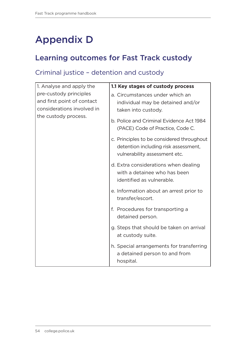### <span id="page-55-0"></span>Appendix D

#### Learning outcomes for Fast Track custody

#### Criminal justice – detention and custody

| 1. Analyse and apply the                                                                                   | 1.1 Key stages of custody process                                                                                  |
|------------------------------------------------------------------------------------------------------------|--------------------------------------------------------------------------------------------------------------------|
| pre-custody principles<br>and first point of contact<br>considerations involved in<br>the custody process. | a. Circumstances under which an<br>individual may be detained and/or<br>taken into custody.                        |
|                                                                                                            | b. Police and Criminal Evidence Act 1984<br>(PACE) Code of Practice, Code C.                                       |
|                                                                                                            | c. Principles to be considered throughout<br>detention including risk assessment,<br>vulnerability assessment etc. |
|                                                                                                            | d. Extra considerations when dealing<br>with a detainee who has been<br>identified as vulnerable.                  |
|                                                                                                            | e. Information about an arrest prior to<br>transfer/escort.                                                        |
|                                                                                                            | f. Procedures for transporting a<br>detained person.                                                               |
|                                                                                                            | g. Steps that should be taken on arrival<br>at custody suite.                                                      |
|                                                                                                            | h. Special arrangements for transferring<br>a detained person to and from<br>hospital.                             |